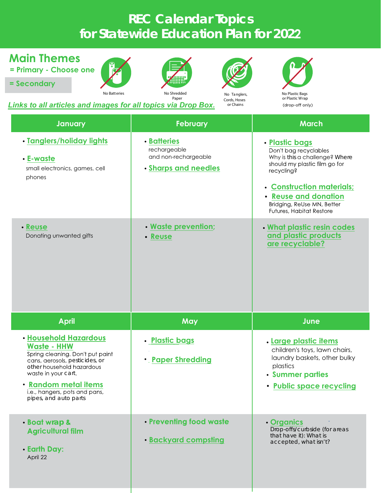## **REC Calendar Topics for Statewide Education Plan for 202**

| <b>Main Themes</b><br>= Primary - Choose one<br>= Secondary<br>No Batteries<br>Links to all articles and images for all topics via Drop Box.                                                                                                                   | No Shredded<br>No Tanglers,<br>Paper<br>Cords, Hoses<br>or Chains                  | No Plastic Bags<br>or Plastic Wrap<br>(drop-off only)                                                                                                                                                                                   |
|----------------------------------------------------------------------------------------------------------------------------------------------------------------------------------------------------------------------------------------------------------------|------------------------------------------------------------------------------------|-----------------------------------------------------------------------------------------------------------------------------------------------------------------------------------------------------------------------------------------|
| January                                                                                                                                                                                                                                                        | <b>February</b>                                                                    | <b>March</b>                                                                                                                                                                                                                            |
| • Tanglers/holiday lights<br>• E-waste<br>small electronics, games, cell<br>phones                                                                                                                                                                             | <b>• Batteries</b><br>rechargeable<br>and non-rechargeable<br>• Sharps and needles | • Plastic bags<br>Don't bag recyclables<br>Why is this a challenge? Where<br>should my plastic film go for<br>recycling?<br>• Construction materials;<br>• Reuse and donation<br>Bridging, ReUse MN, Better<br>Futures, Habitat Restore |
| · Reuse<br>Donating unwanted gifts                                                                                                                                                                                                                             | · Waste prevention;<br>• Reuse                                                     | . What plastic resin codes<br>and plastic products<br>are recyclable?                                                                                                                                                                   |
| <b>April</b>                                                                                                                                                                                                                                                   | May                                                                                | June                                                                                                                                                                                                                                    |
| <b>· Household Hazardous</b><br><b>Waste - HHW</b><br>Spring cleaning. Don't put paint<br>cans, aerosols, pesticides, or<br>other household hazardous<br>waste in your cart.<br>· Random metal items<br>i.e., hangers, pots and pans,<br>pipes, and auto parts | · Plastic bags<br><b>• Paper Shredding</b>                                         | . Large plastic items<br>children's toys, lawn chairs,<br>laundry baskets, other bulky<br>plastics<br>• Summer parties<br>• Public space recycling                                                                                      |
| · Boat wrap &<br><b>Agricultural film</b><br>• Earth Day:<br>April 22                                                                                                                                                                                          | • Preventing food waste<br><b>· Backyard compsting</b>                             | • Organics<br>Drop-offs/curbside (for areas<br>that have it): What is<br>accepted, what isn't?                                                                                                                                          |